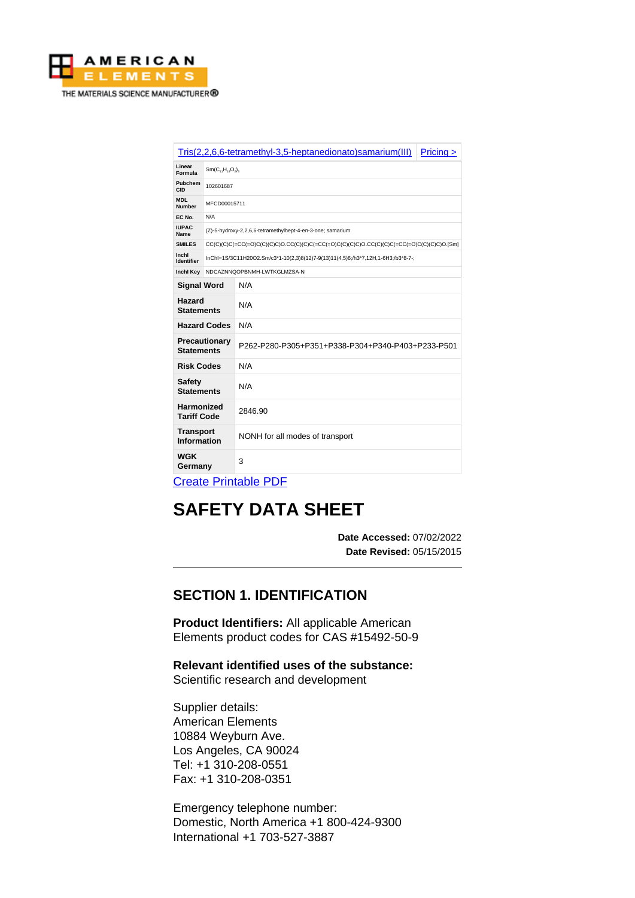

| Tris(2,2,6,6-tetramethyl-3,5-heptanedionato)samarium(III)<br>Pricing |                                                            |                                                                                                      |  |  |
|----------------------------------------------------------------------|------------------------------------------------------------|------------------------------------------------------------------------------------------------------|--|--|
| Linear<br>Formula                                                    | $Sm(C_{11}H_{19}O_2)_3$                                    |                                                                                                      |  |  |
| Pubchem<br>CID                                                       | 102601687                                                  |                                                                                                      |  |  |
| <b>MDL</b><br><b>Number</b>                                          | MFCD00015711                                               |                                                                                                      |  |  |
| EC No.                                                               | N/A                                                        |                                                                                                      |  |  |
| <b>IUPAC</b><br>Name                                                 | (Z)-5-hydroxy-2,2,6,6-tetramethylhept-4-en-3-one; samarium |                                                                                                      |  |  |
| <b>SMILES</b>                                                        |                                                            | CC(C)(C)C(=CC(=O)C(C)(C)C)O.CC(C)(C)C(=CC(=O)C(C)(C)C)O.CC(C)(C)C)O.CC(C)(C)C(=CC(=O)C(C)(C)C)O.[Sm] |  |  |
| Inchl<br><b>Identifier</b>                                           |                                                            | InChl=1S/3C11H20O2.Sm/c3*1-10(2,3)8(12)7-9(13)11(4,5)6;/h3*7,12H,1-6H3;/b3*8-7-;                     |  |  |
| <b>Inchl Key</b>                                                     | NDCAZNNQOPBNMH-LWTKGLMZSA-N                                |                                                                                                      |  |  |
| <b>Signal Word</b>                                                   |                                                            | N/A                                                                                                  |  |  |
| Hazard<br><b>Statements</b>                                          |                                                            | N/A                                                                                                  |  |  |
| <b>Hazard Codes</b>                                                  |                                                            | N/A                                                                                                  |  |  |
| Precautionary<br><b>Statements</b>                                   |                                                            | P262-P280-P305+P351+P338-P304+P340-P403+P233-P501                                                    |  |  |
| <b>Risk Codes</b>                                                    |                                                            | N/A                                                                                                  |  |  |
| <b>Safety</b><br><b>Statements</b>                                   |                                                            | N/A                                                                                                  |  |  |
| <b>Harmonized</b><br><b>Tariff Code</b>                              |                                                            | 2846.90                                                                                              |  |  |
| <b>Transport</b><br>Information                                      |                                                            | NONH for all modes of transport                                                                      |  |  |
| <b>WGK</b><br>Germany                                                |                                                            | 3                                                                                                    |  |  |
| Crooto Drintoblo DDE                                                 |                                                            |                                                                                                      |  |  |

[Create Printable PDF](https://www.americanelements.com/printpdf/cas/15492-50-9/sds)

# **SAFETY DATA SHEET**

**Date Accessed:** 07/02/2022 **Date Revised:** 05/15/2015

# **SECTION 1. IDENTIFICATION**

**Product Identifiers:** All applicable American Elements product codes for CAS #15492-50-9

**Relevant identified uses of the substance:** Scientific research and development

Supplier details: American Elements 10884 Weyburn Ave. Los Angeles, CA 90024 Tel: +1 310-208-0551 Fax: +1 310-208-0351

Emergency telephone number: Domestic, North America +1 800-424-9300 International +1 703-527-3887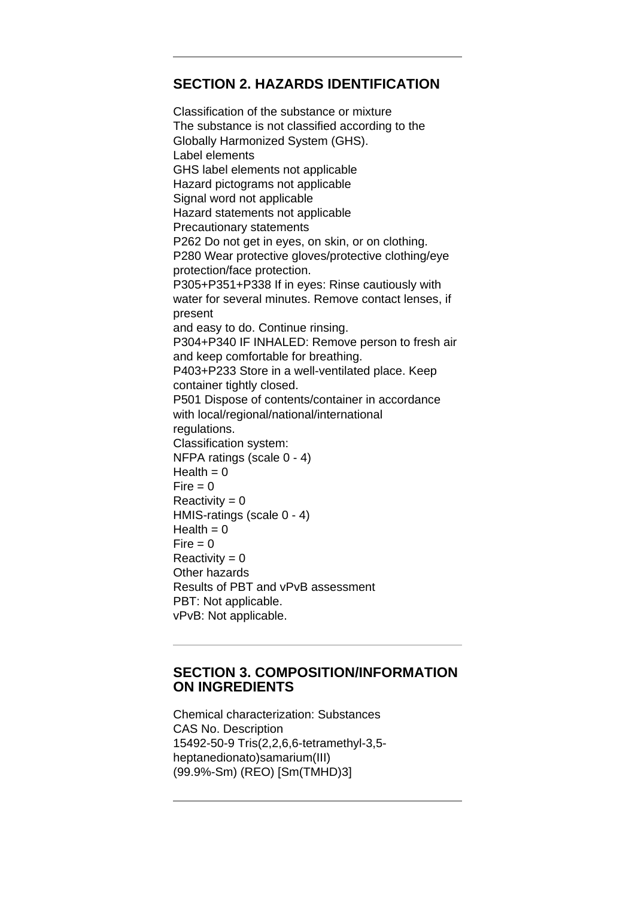## **SECTION 2. HAZARDS IDENTIFICATION**

Classification of the substance or mixture The substance is not classified according to the Globally Harmonized System (GHS). Label elements GHS label elements not applicable Hazard pictograms not applicable Signal word not applicable Hazard statements not applicable Precautionary statements P262 Do not get in eyes, on skin, or on clothing. P280 Wear protective gloves/protective clothing/eye protection/face protection. P305+P351+P338 If in eyes: Rinse cautiously with water for several minutes. Remove contact lenses, if present and easy to do. Continue rinsing. P304+P340 IF INHALED: Remove person to fresh air and keep comfortable for breathing. P403+P233 Store in a well-ventilated place. Keep container tightly closed. P501 Dispose of contents/container in accordance with local/regional/national/international regulations. Classification system: NFPA ratings (scale 0 - 4)  $Health = 0$  $Fire = 0$  $Reactivity = 0$ HMIS-ratings (scale 0 - 4)  $Health = 0$  $Fire = 0$  $Reactivity = 0$ Other hazards Results of PBT and vPvB assessment PBT: Not applicable. vPvB: Not applicable.

#### **SECTION 3. COMPOSITION/INFORMATION ON INGREDIENTS**

Chemical characterization: Substances CAS No. Description 15492-50-9 Tris(2,2,6,6-tetramethyl-3,5 heptanedionato)samarium(III) (99.9%-Sm) (REO) [Sm(TMHD)3]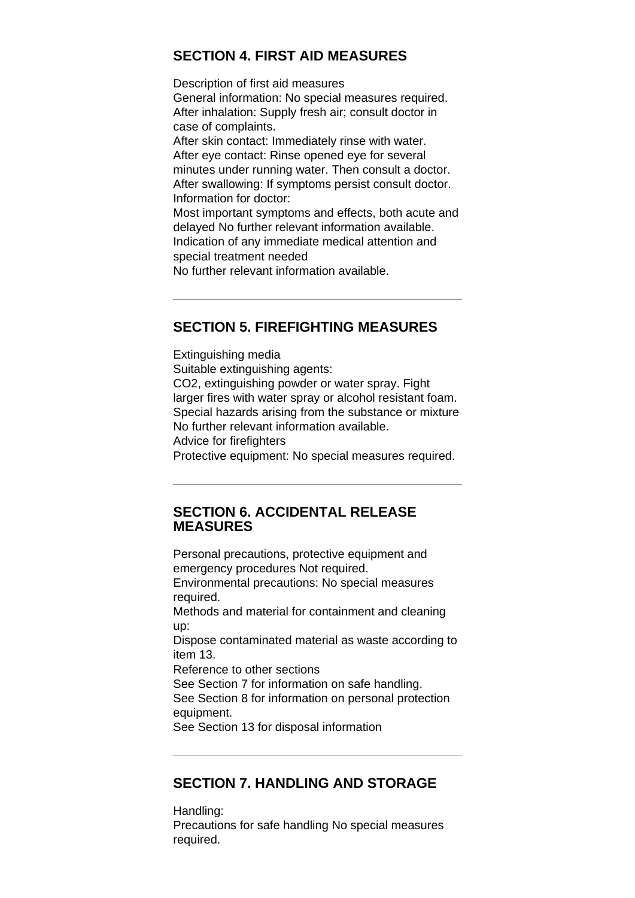## **SECTION 4. FIRST AID MEASURES**

Description of first aid measures General information: No special measures required. After inhalation: Supply fresh air; consult doctor in case of complaints. After skin contact: Immediately rinse with water. After eye contact: Rinse opened eye for several minutes under running water. Then consult a doctor. After swallowing: If symptoms persist consult doctor. Information for doctor: Most important symptoms and effects, both acute and delayed No further relevant information available. Indication of any immediate medical attention and special treatment needed No further relevant information available.

#### **SECTION 5. FIREFIGHTING MEASURES**

Extinguishing media Suitable extinguishing agents: CO2, extinguishing powder or water spray. Fight larger fires with water spray or alcohol resistant foam. Special hazards arising from the substance or mixture No further relevant information available. Advice for firefighters Protective equipment: No special measures required.

#### **SECTION 6. ACCIDENTAL RELEASE MEASURES**

Personal precautions, protective equipment and emergency procedures Not required.

Environmental precautions: No special measures required.

Methods and material for containment and cleaning up:

Dispose contaminated material as waste according to item 13.

Reference to other sections

See Section 7 for information on safe handling. See Section 8 for information on personal protection equipment.

See Section 13 for disposal information

## **SECTION 7. HANDLING AND STORAGE**

Handling: Precautions for safe handling No special measures required.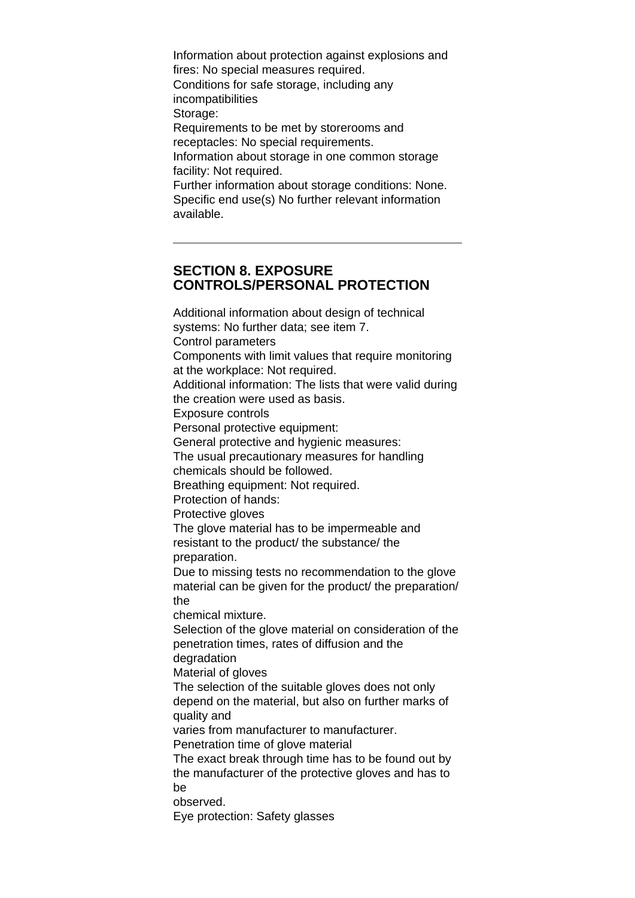Information about protection against explosions and fires: No special measures required. Conditions for safe storage, including any incompatibilities Storage: Requirements to be met by storerooms and receptacles: No special requirements. Information about storage in one common storage facility: Not required. Further information about storage conditions: None. Specific end use(s) No further relevant information available.

#### **SECTION 8. EXPOSURE CONTROLS/PERSONAL PROTECTION**

Additional information about design of technical systems: No further data; see item 7. Control parameters Components with limit values that require monitoring at the workplace: Not required. Additional information: The lists that were valid during the creation were used as basis. Exposure controls Personal protective equipment: General protective and hygienic measures: The usual precautionary measures for handling chemicals should be followed. Breathing equipment: Not required. Protection of hands: Protective gloves The glove material has to be impermeable and resistant to the product/ the substance/ the preparation. Due to missing tests no recommendation to the glove material can be given for the product/ the preparation/ the chemical mixture. Selection of the glove material on consideration of the penetration times, rates of diffusion and the degradation Material of gloves The selection of the suitable gloves does not only depend on the material, but also on further marks of quality and varies from manufacturer to manufacturer. Penetration time of glove material The exact break through time has to be found out by the manufacturer of the protective gloves and has to be observed. Eye protection: Safety glasses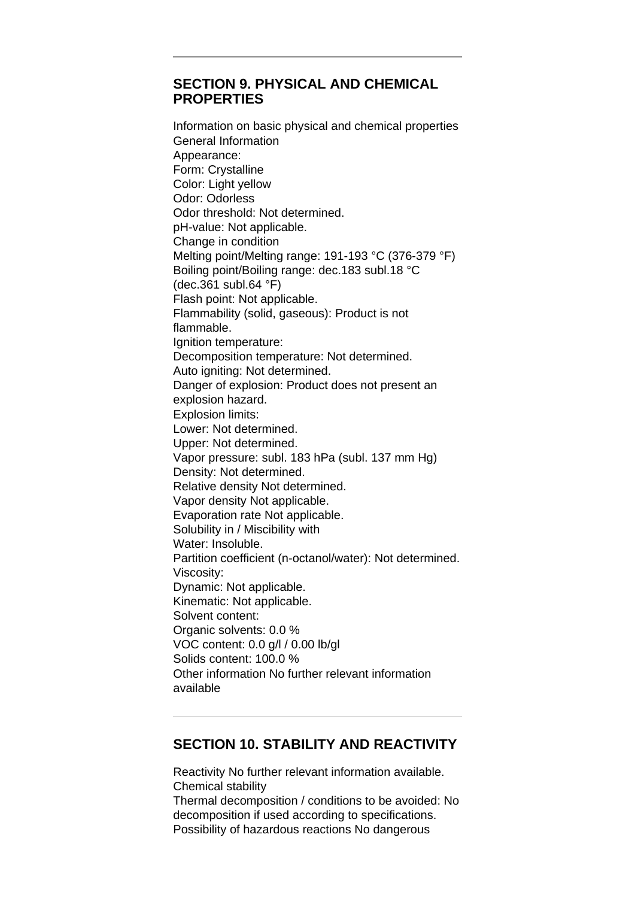## **SECTION 9. PHYSICAL AND CHEMICAL PROPERTIES**

Information on basic physical and chemical properties General Information Appearance: Form: Crystalline Color: Light yellow Odor: Odorless Odor threshold: Not determined. pH-value: Not applicable. Change in condition Melting point/Melting range: 191-193 °C (376-379 °F) Boiling point/Boiling range: dec.183 subl.18 °C (dec.361 subl.64 °F) Flash point: Not applicable. Flammability (solid, gaseous): Product is not flammable. Ignition temperature: Decomposition temperature: Not determined. Auto igniting: Not determined. Danger of explosion: Product does not present an explosion hazard. Explosion limits: Lower: Not determined. Upper: Not determined. Vapor pressure: subl. 183 hPa (subl. 137 mm Hg) Density: Not determined. Relative density Not determined. Vapor density Not applicable. Evaporation rate Not applicable. Solubility in / Miscibility with Water: Insoluble. Partition coefficient (n-octanol/water): Not determined. Viscosity: Dynamic: Not applicable. Kinematic: Not applicable. Solvent content: Organic solvents: 0.0 % VOC content: 0.0 g/l / 0.00 lb/gl Solids content: 100.0 % Other information No further relevant information available

## **SECTION 10. STABILITY AND REACTIVITY**

Reactivity No further relevant information available. Chemical stability Thermal decomposition / conditions to be avoided: No decomposition if used according to specifications. Possibility of hazardous reactions No dangerous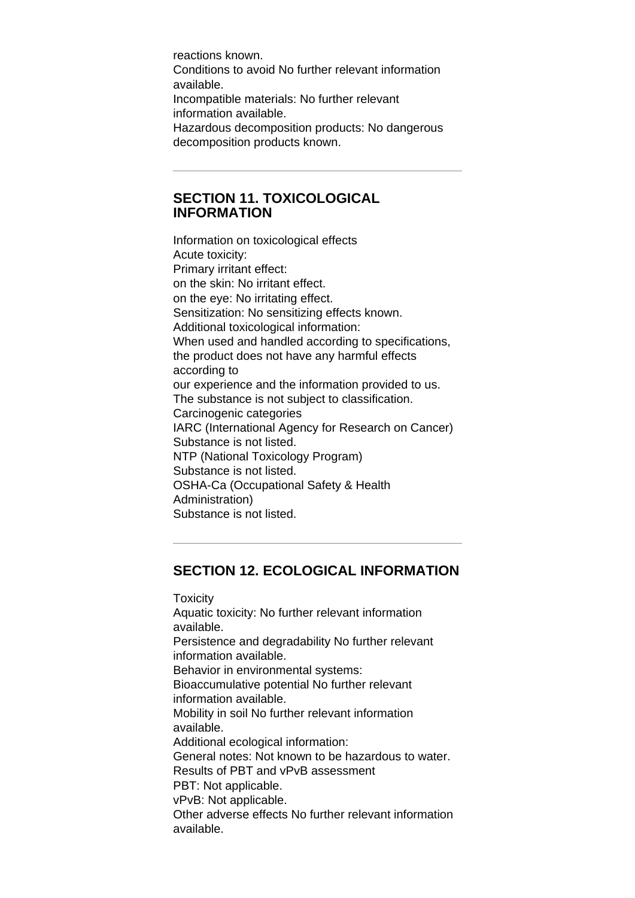reactions known. Conditions to avoid No further relevant information available. Incompatible materials: No further relevant information available. Hazardous decomposition products: No dangerous decomposition products known.

#### **SECTION 11. TOXICOLOGICAL INFORMATION**

Information on toxicological effects Acute toxicity: Primary irritant effect: on the skin: No irritant effect. on the eye: No irritating effect. Sensitization: No sensitizing effects known. Additional toxicological information: When used and handled according to specifications, the product does not have any harmful effects according to our experience and the information provided to us. The substance is not subject to classification. Carcinogenic categories IARC (International Agency for Research on Cancer) Substance is not listed. NTP (National Toxicology Program) Substance is not listed. OSHA-Ca (Occupational Safety & Health Administration) Substance is not listed.

## **SECTION 12. ECOLOGICAL INFORMATION**

**Toxicity** Aquatic toxicity: No further relevant information available. Persistence and degradability No further relevant information available. Behavior in environmental systems: Bioaccumulative potential No further relevant information available. Mobility in soil No further relevant information available. Additional ecological information: General notes: Not known to be hazardous to water. Results of PBT and vPvB assessment PBT: Not applicable. vPvB: Not applicable. Other adverse effects No further relevant information available.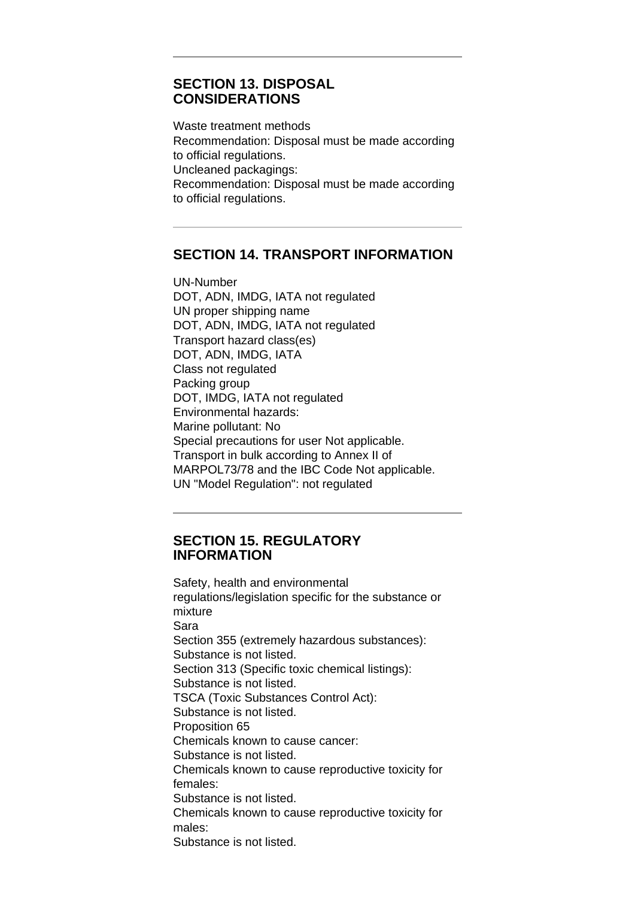#### **SECTION 13. DISPOSAL CONSIDERATIONS**

Waste treatment methods Recommendation: Disposal must be made according to official regulations. Uncleaned packagings: Recommendation: Disposal must be made according to official regulations.

## **SECTION 14. TRANSPORT INFORMATION**

UN-Number DOT, ADN, IMDG, IATA not regulated UN proper shipping name DOT, ADN, IMDG, IATA not regulated Transport hazard class(es) DOT, ADN, IMDG, IATA Class not regulated Packing group DOT, IMDG, IATA not regulated Environmental hazards: Marine pollutant: No Special precautions for user Not applicable. Transport in bulk according to Annex II of MARPOL73/78 and the IBC Code Not applicable. UN "Model Regulation": not regulated

#### **SECTION 15. REGULATORY INFORMATION**

Safety, health and environmental regulations/legislation specific for the substance or mixture Sara Section 355 (extremely hazardous substances): Substance is not listed. Section 313 (Specific toxic chemical listings): Substance is not listed. TSCA (Toxic Substances Control Act): Substance is not listed. Proposition 65 Chemicals known to cause cancer: Substance is not listed. Chemicals known to cause reproductive toxicity for females: Substance is not listed. Chemicals known to cause reproductive toxicity for males: Substance is not listed.